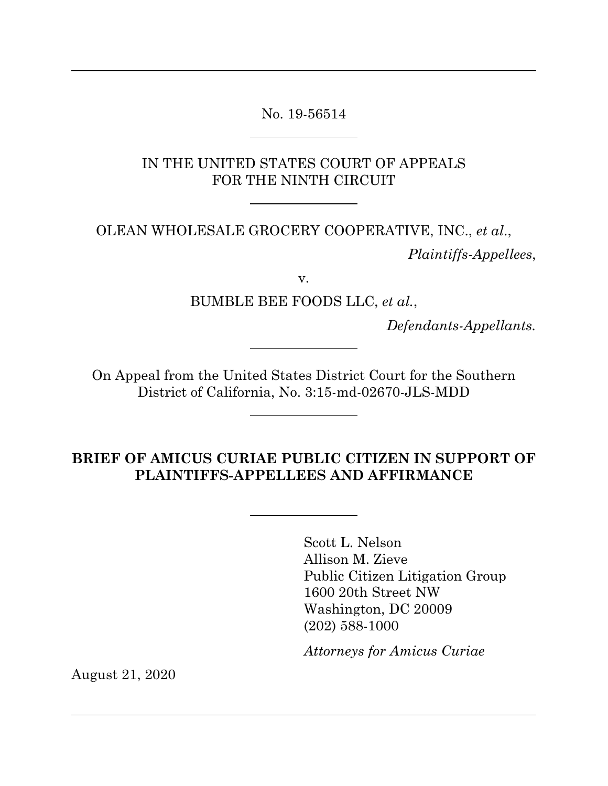No. 19-56514

 $\overline{a}$ 

 $\overline{a}$ 

IN THE UNITED STATES COURT OF APPEALS FOR THE NINTH CIRCUIT

OLEAN WHOLESALE GROCERY COOPERATIVE, INC., *et al*., *Plaintiffs-Appellees*,

v.

BUMBLE BEE FOODS LLC, *et al.*,

*Defendants-Appellants.* 

On Appeal from the United States District Court for the Southern District of California, No. 3:15-md-02670-JLS-MDD

**BRIEF OF AMICUS CURIAE PUBLIC CITIZEN IN SUPPORT OF PLAINTIFFS-APPELLEES AND AFFIRMANCE** 

> Scott L. Nelson Allison M. Zieve Public Citizen Litigation Group 1600 20th Street NW Washington, DC 20009 (202) 588-1000

*Attorneys for Amicus Curiae*

August 21, 2020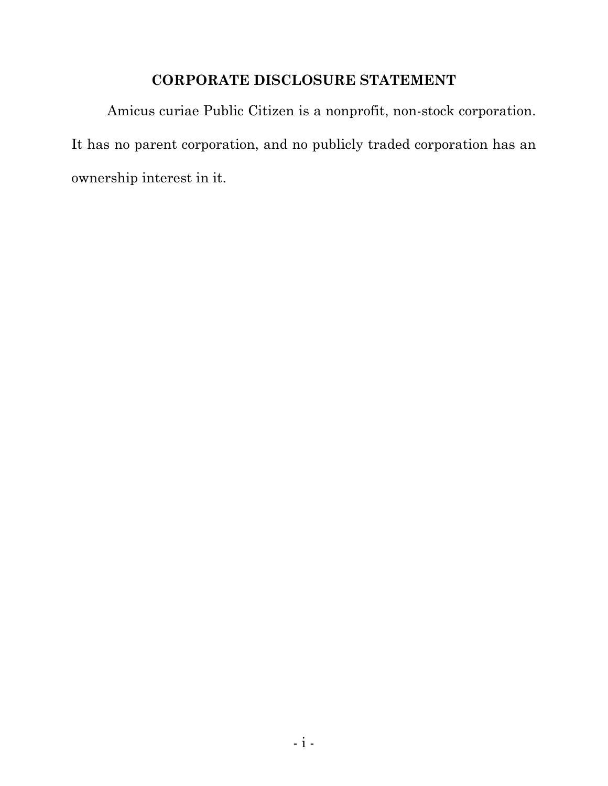## **CORPORATE DISCLOSURE STATEMENT**

Amicus curiae Public Citizen is a nonprofit, non-stock corporation. It has no parent corporation, and no publicly traded corporation has an ownership interest in it.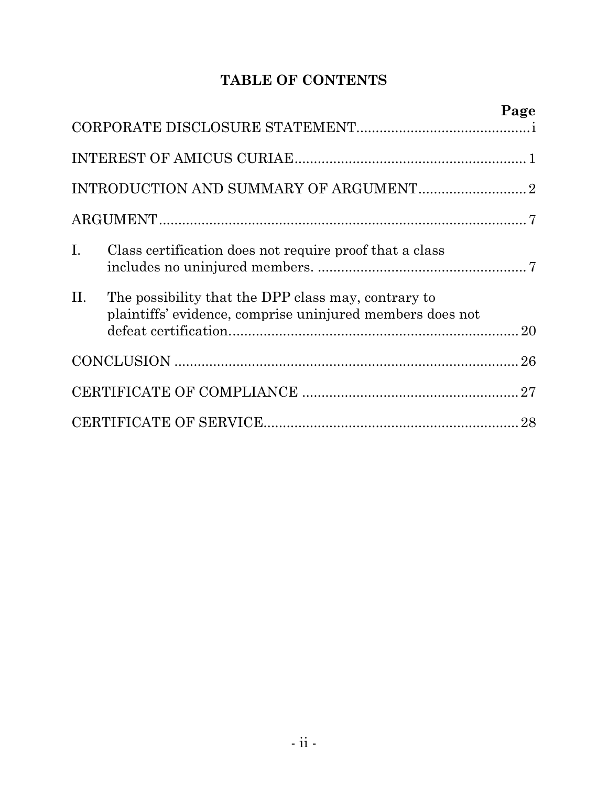## **TABLE OF CONTENTS**

|                |                                                                                                                  | Page |
|----------------|------------------------------------------------------------------------------------------------------------------|------|
|                |                                                                                                                  |      |
|                |                                                                                                                  |      |
|                |                                                                                                                  |      |
|                |                                                                                                                  |      |
| $\mathbf{I}$ . | Class certification does not require proof that a class                                                          |      |
| II.            | The possibility that the DPP class may, contrary to<br>plaintiffs' evidence, comprise uninjured members does not |      |
|                |                                                                                                                  |      |
|                |                                                                                                                  |      |
|                |                                                                                                                  |      |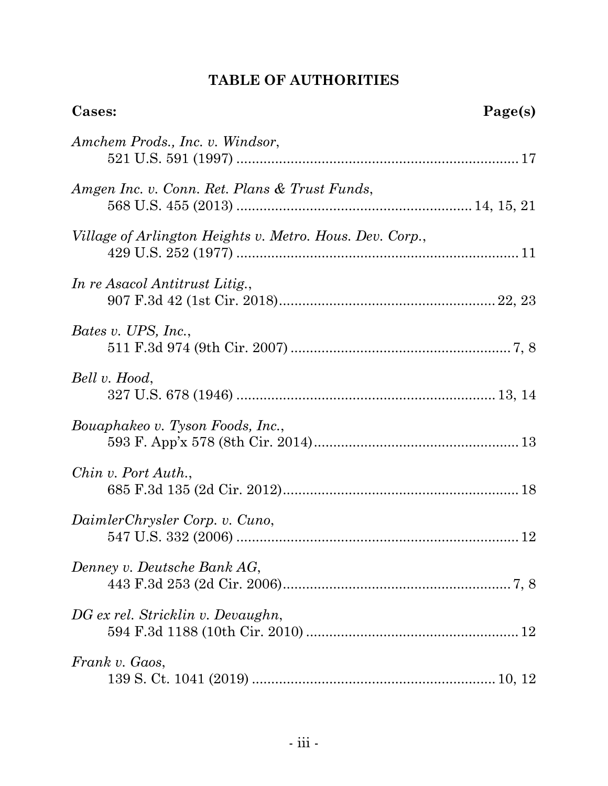# **TABLE OF AUTHORITIES**

| Cases:                                                   | Page(s) |
|----------------------------------------------------------|---------|
| Amchem Prods., Inc. v. Windsor,                          |         |
| Amgen Inc. v. Conn. Ret. Plans & Trust Funds,            |         |
| Village of Arlington Heights v. Metro. Hous. Dev. Corp., |         |
| In re Asacol Antitrust Litig.,                           |         |
| Bates v. UPS, Inc.,                                      |         |
| Bell v. Hood,                                            |         |
| Bouaphakeo v. Tyson Foods, Inc.,                         |         |
| Chin v. Port Auth.,                                      |         |
| DaimlerChrysler Corp. v. Cuno,                           |         |
| Denney v. Deutsche Bank AG,                              |         |
| DG ex rel. Stricklin v. Devaughn,                        |         |
| Frank v. Gaos,                                           |         |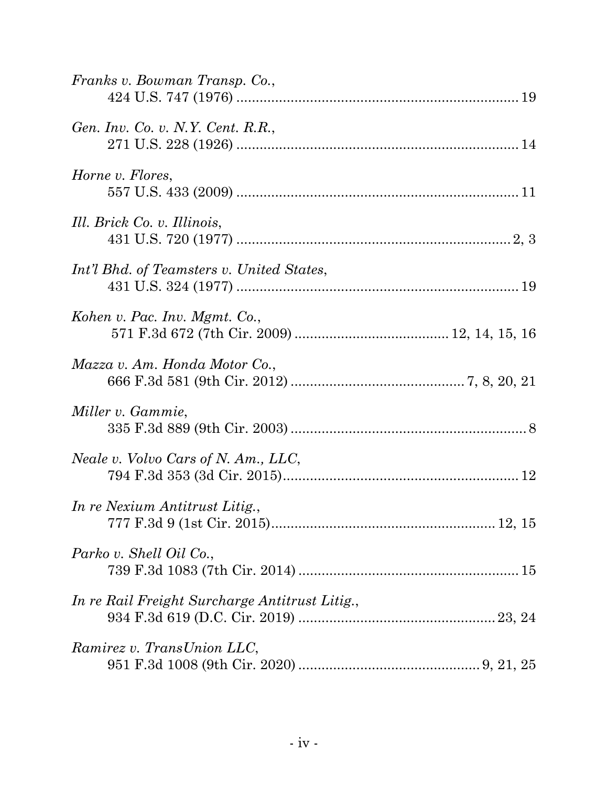| Franks v. Bowman Transp. Co.,                  |
|------------------------------------------------|
| Gen. Inv. Co. v. N.Y. Cent. R.R.,              |
| Horne v. Flores,                               |
| Ill. Brick Co. v. Illinois,                    |
| Int'l Bhd. of Teamsters v. United States,      |
| Kohen v. Pac. Inv. Mgmt. Co.,                  |
| Mazza v. Am. Honda Motor Co.,                  |
| Miller v. Gammie,                              |
| Neale v. Volvo Cars of N. Am., LLC,            |
| In re Nexium Antitrust Litig.,                 |
| Parko v. Shell Oil Co.,                        |
| In re Rail Freight Surcharge Antitrust Litig., |
| Ramirez v. TransUnion LLC,                     |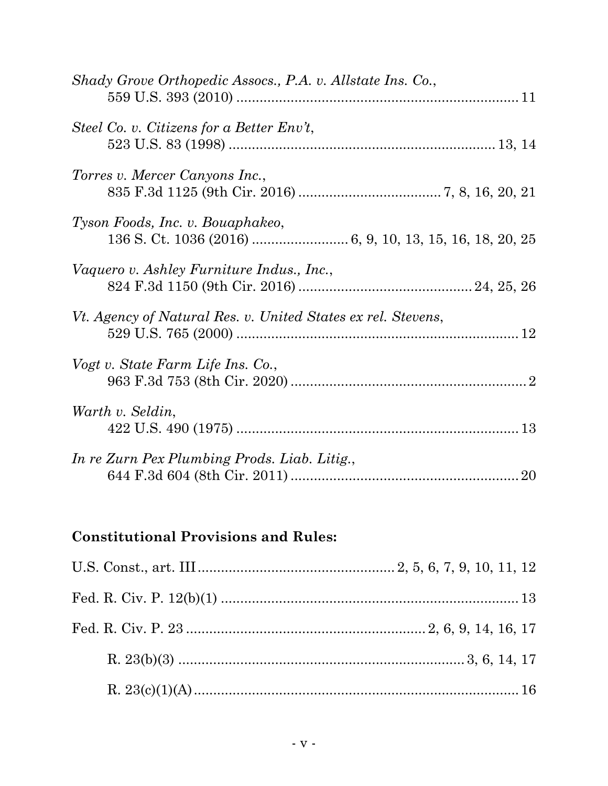| Shady Grove Orthopedic Assocs., P.A. v. Allstate Ins. Co.,   |
|--------------------------------------------------------------|
| Steel Co. v. Citizens for a Better Env't,                    |
| Torres v. Mercer Canyons Inc.,                               |
| Tyson Foods, Inc. v. Bouaphakeo,                             |
| Vaquero v. Ashley Furniture Indus., Inc.,                    |
| Vt. Agency of Natural Res. v. United States ex rel. Stevens, |
| Vogt v. State Farm Life Ins. Co.,                            |
| Warth v. Seldin,                                             |
| In re Zurn Pex Plumbing Prods. Liab. Litig.,                 |

# **Constitutional Provisions and Rules:**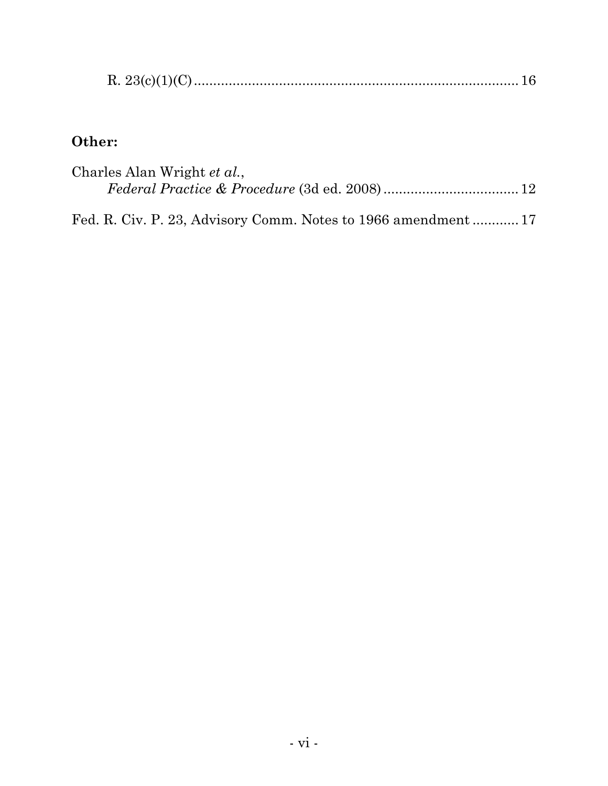|--|--|--|--|

# **Other:**

| Charles Alan Wright et al., |  |
|-----------------------------|--|
|                             |  |
|                             |  |

Fed. R. Civ. P. 23, Advisory Comm. Notes to 1966 amendment ............ 17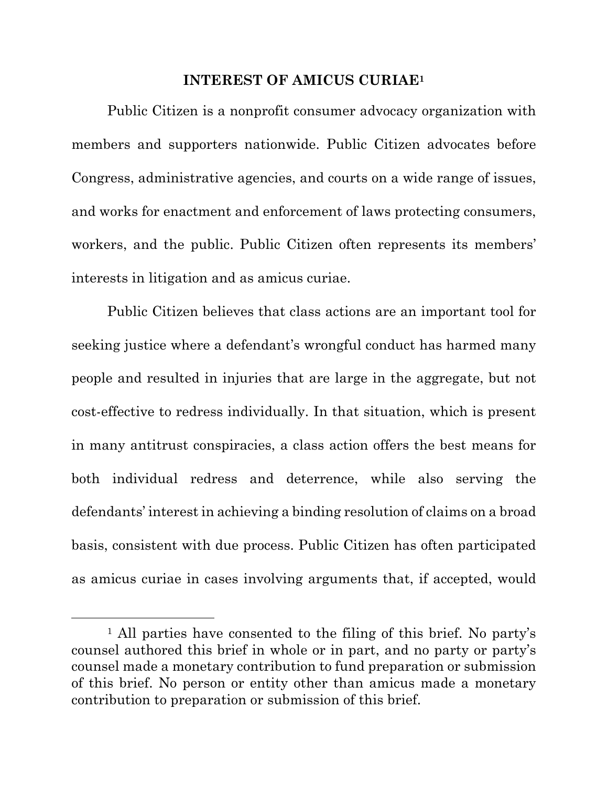#### **INTEREST OF AMICUS CURIAE1**

Public Citizen is a nonprofit consumer advocacy organization with members and supporters nationwide. Public Citizen advocates before Congress, administrative agencies, and courts on a wide range of issues, and works for enactment and enforcement of laws protecting consumers, workers, and the public. Public Citizen often represents its members' interests in litigation and as amicus curiae.

Public Citizen believes that class actions are an important tool for seeking justice where a defendant's wrongful conduct has harmed many people and resulted in injuries that are large in the aggregate, but not cost-effective to redress individually. In that situation, which is present in many antitrust conspiracies, a class action offers the best means for both individual redress and deterrence, while also serving the defendants' interest in achieving a binding resolution of claims on a broad basis, consistent with due process. Public Citizen has often participated as amicus curiae in cases involving arguments that, if accepted, would

<sup>&</sup>lt;sup>1</sup> All parties have consented to the filing of this brief. No party's counsel authored this brief in whole or in part, and no party or party's counsel made a monetary contribution to fund preparation or submission of this brief. No person or entity other than amicus made a monetary contribution to preparation or submission of this brief.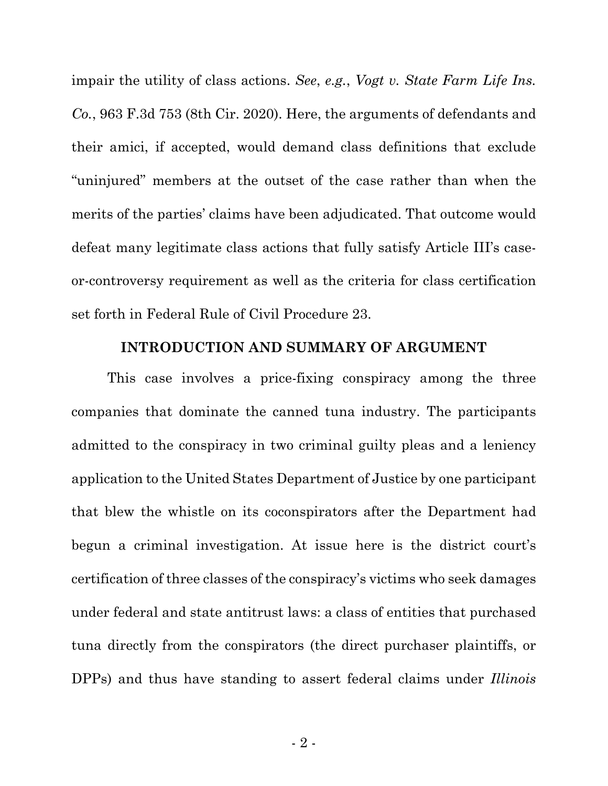impair the utility of class actions. *See*, *e.g.*, *Vogt v. State Farm Life Ins. Co.*, 963 F.3d 753 (8th Cir. 2020). Here, the arguments of defendants and their amici, if accepted, would demand class definitions that exclude "uninjured" members at the outset of the case rather than when the merits of the parties' claims have been adjudicated. That outcome would defeat many legitimate class actions that fully satisfy Article III's caseor-controversy requirement as well as the criteria for class certification set forth in Federal Rule of Civil Procedure 23.

#### **INTRODUCTION AND SUMMARY OF ARGUMENT**

This case involves a price-fixing conspiracy among the three companies that dominate the canned tuna industry. The participants admitted to the conspiracy in two criminal guilty pleas and a leniency application to the United States Department of Justice by one participant that blew the whistle on its coconspirators after the Department had begun a criminal investigation. At issue here is the district court's certification of three classes of the conspiracy's victims who seek damages under federal and state antitrust laws: a class of entities that purchased tuna directly from the conspirators (the direct purchaser plaintiffs, or DPPs) and thus have standing to assert federal claims under *Illinois*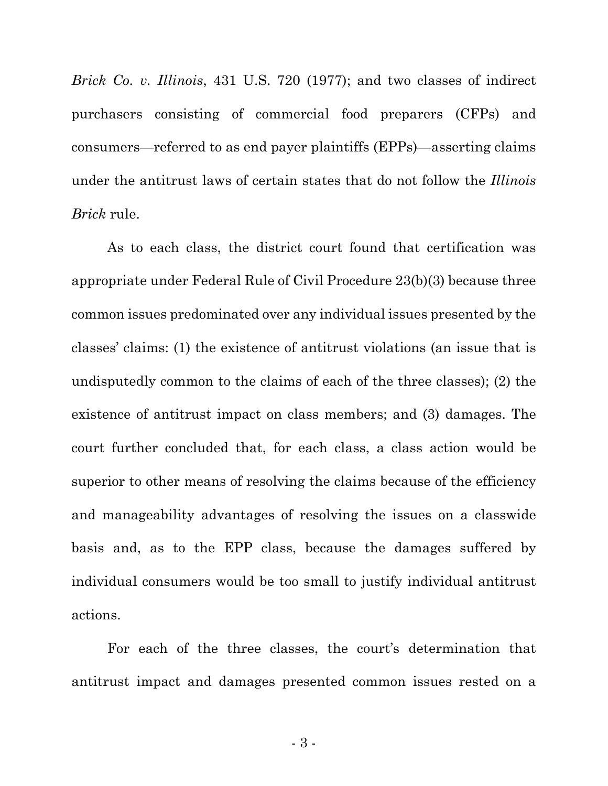*Brick Co. v. Illinois*, 431 U.S. 720 (1977); and two classes of indirect purchasers consisting of commercial food preparers (CFPs) and consumers—referred to as end payer plaintiffs (EPPs)—asserting claims under the antitrust laws of certain states that do not follow the *Illinois Brick* rule.

As to each class, the district court found that certification was appropriate under Federal Rule of Civil Procedure 23(b)(3) because three common issues predominated over any individual issues presented by the classes' claims: (1) the existence of antitrust violations (an issue that is undisputedly common to the claims of each of the three classes); (2) the existence of antitrust impact on class members; and (3) damages. The court further concluded that, for each class, a class action would be superior to other means of resolving the claims because of the efficiency and manageability advantages of resolving the issues on a classwide basis and, as to the EPP class, because the damages suffered by individual consumers would be too small to justify individual antitrust actions.

For each of the three classes, the court's determination that antitrust impact and damages presented common issues rested on a

- 3 -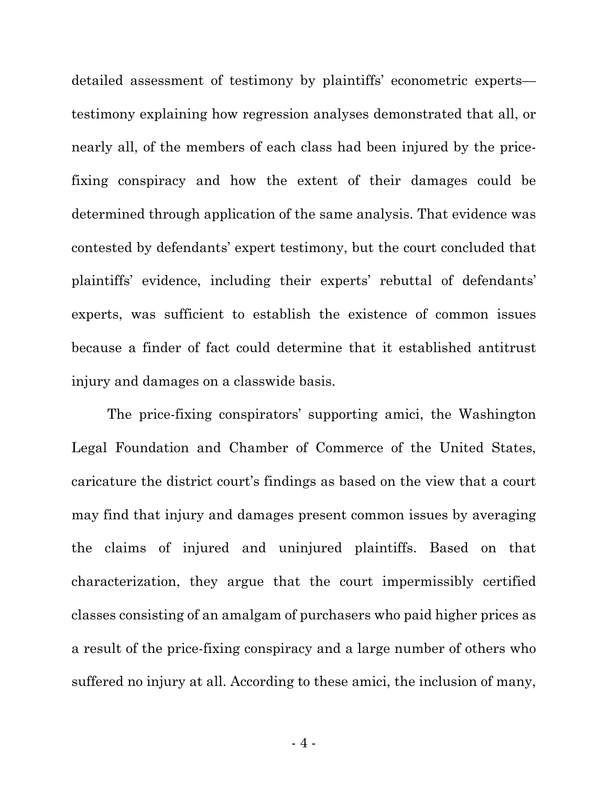detailed assessment of testimony by plaintiffs' econometric experts testimony explaining how regression analyses demonstrated that all, or nearly all, of the members of each class had been injured by the pricefixing conspiracy and how the extent of their damages could be determined through application of the same analysis. That evidence was contested by defendants' expert testimony, but the court concluded that plaintiffs' evidence, including their experts' rebuttal of defendants' experts, was sufficient to establish the existence of common issues because a finder of fact could determine that it established antitrust injury and damages on a classwide basis.

The price-fixing conspirators' supporting amici, the Washington Legal Foundation and Chamber of Commerce of the United States, caricature the district court's findings as based on the view that a court may find that injury and damages present common issues by averaging the claims of injured and uninjured plaintiffs. Based on that characterization, they argue that the court impermissibly certified classes consisting of an amalgam of purchasers who paid higher prices as a result of the price-fixing conspiracy and a large number of others who suffered no injury at all. According to these amici, the inclusion of many,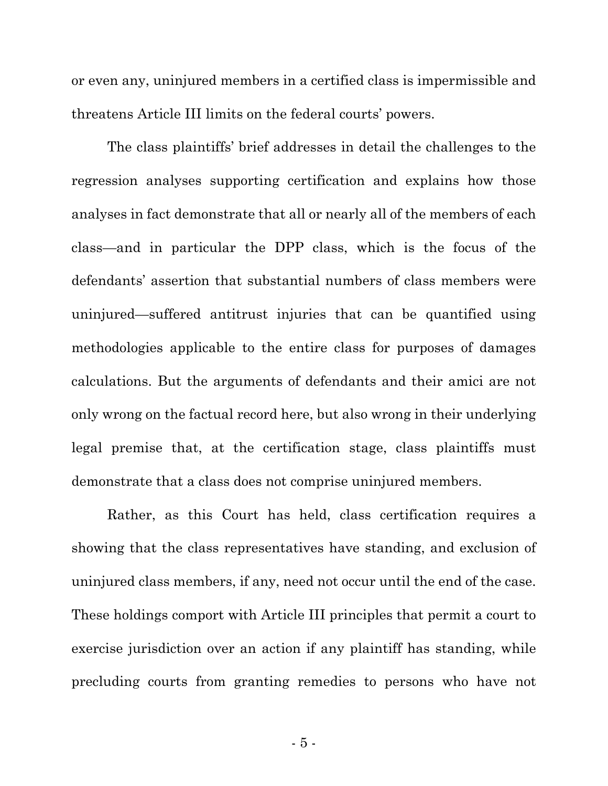or even any, uninjured members in a certified class is impermissible and threatens Article III limits on the federal courts' powers.

The class plaintiffs' brief addresses in detail the challenges to the regression analyses supporting certification and explains how those analyses in fact demonstrate that all or nearly all of the members of each class—and in particular the DPP class, which is the focus of the defendants' assertion that substantial numbers of class members were uninjured—suffered antitrust injuries that can be quantified using methodologies applicable to the entire class for purposes of damages calculations. But the arguments of defendants and their amici are not only wrong on the factual record here, but also wrong in their underlying legal premise that, at the certification stage, class plaintiffs must demonstrate that a class does not comprise uninjured members.

Rather, as this Court has held, class certification requires a showing that the class representatives have standing, and exclusion of uninjured class members, if any, need not occur until the end of the case. These holdings comport with Article III principles that permit a court to exercise jurisdiction over an action if any plaintiff has standing, while precluding courts from granting remedies to persons who have not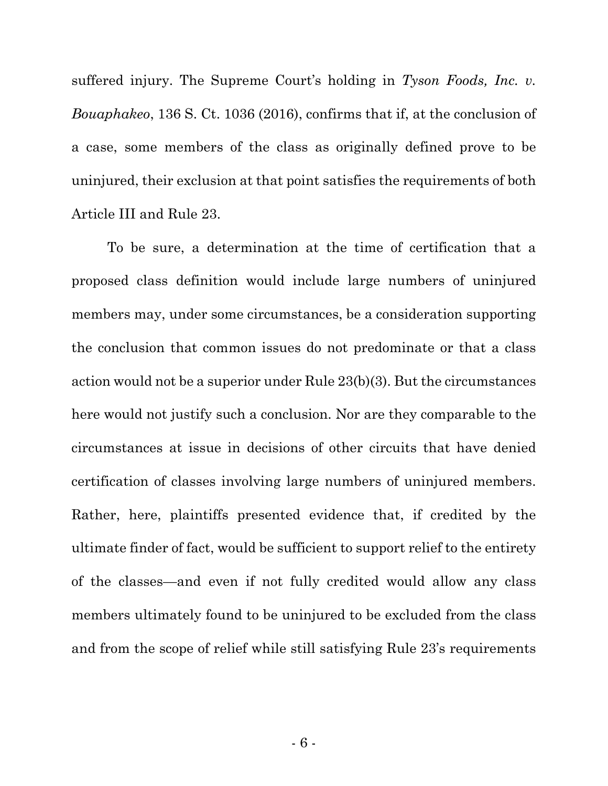suffered injury. The Supreme Court's holding in *Tyson Foods, Inc. v. Bouaphakeo*, 136 S. Ct. 1036 (2016), confirms that if, at the conclusion of a case, some members of the class as originally defined prove to be uninjured, their exclusion at that point satisfies the requirements of both Article III and Rule 23.

To be sure, a determination at the time of certification that a proposed class definition would include large numbers of uninjured members may, under some circumstances, be a consideration supporting the conclusion that common issues do not predominate or that a class action would not be a superior under Rule 23(b)(3). But the circumstances here would not justify such a conclusion. Nor are they comparable to the circumstances at issue in decisions of other circuits that have denied certification of classes involving large numbers of uninjured members. Rather, here, plaintiffs presented evidence that, if credited by the ultimate finder of fact, would be sufficient to support relief to the entirety of the classes—and even if not fully credited would allow any class members ultimately found to be uninjured to be excluded from the class and from the scope of relief while still satisfying Rule 23's requirements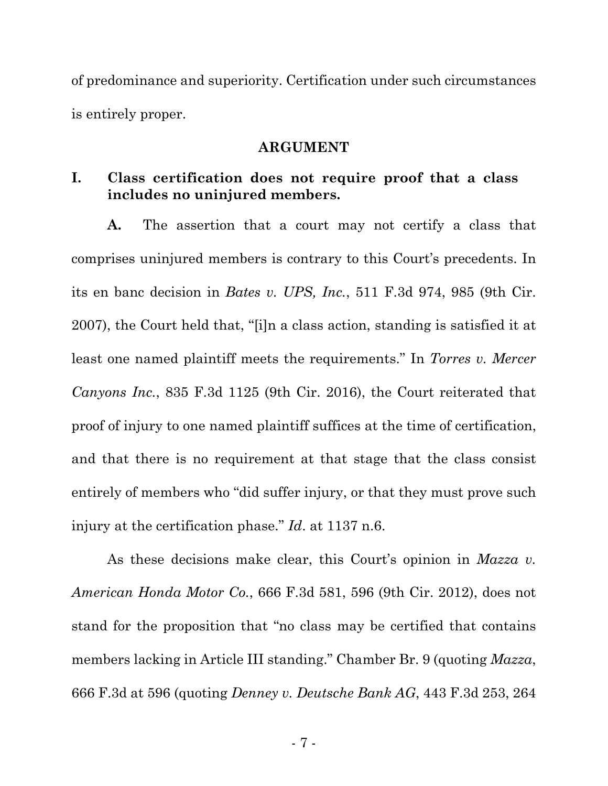of predominance and superiority. Certification under such circumstances is entirely proper.

#### **ARGUMENT**

### **I. Class certification does not require proof that a class includes no uninjured members.**

**A.** The assertion that a court may not certify a class that comprises uninjured members is contrary to this Court's precedents. In its en banc decision in *Bates v. UPS, Inc.*, 511 F.3d 974, 985 (9th Cir. 2007), the Court held that, "[i]n a class action, standing is satisfied it at least one named plaintiff meets the requirements." In *Torres v. Mercer Canyons Inc.*, 835 F.3d 1125 (9th Cir. 2016), the Court reiterated that proof of injury to one named plaintiff suffices at the time of certification, and that there is no requirement at that stage that the class consist entirely of members who "did suffer injury, or that they must prove such injury at the certification phase." *Id*. at 1137 n.6.

As these decisions make clear, this Court's opinion in *Mazza v. American Honda Motor Co.*, 666 F.3d 581, 596 (9th Cir. 2012), does not stand for the proposition that "no class may be certified that contains members lacking in Article III standing." Chamber Br. 9 (quoting *Mazza*, 666 F.3d at 596 (quoting *Denney v. Deutsche Bank AG*, 443 F.3d 253, 264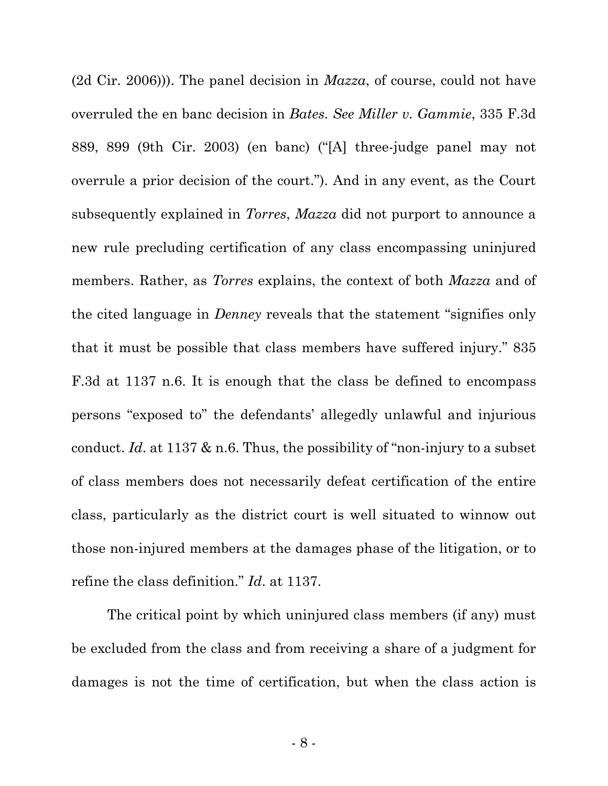(2d Cir. 2006))). The panel decision in *Mazza*, of course, could not have overruled the en banc decision in *Bates*. *See Miller v. Gammie*, 335 F.3d 889, 899 (9th Cir. 2003) (en banc) ("[A] three-judge panel may not overrule a prior decision of the court."). And in any event, as the Court subsequently explained in *Torres*, *Mazza* did not purport to announce a new rule precluding certification of any class encompassing uninjured members. Rather, as *Torres* explains, the context of both *Mazza* and of the cited language in *Denney* reveals that the statement "signifies only that it must be possible that class members have suffered injury." 835 F.3d at 1137 n.6. It is enough that the class be defined to encompass persons "exposed to" the defendants' allegedly unlawful and injurious conduct. *Id*. at 1137 & n.6. Thus, the possibility of "non-injury to a subset of class members does not necessarily defeat certification of the entire class, particularly as the district court is well situated to winnow out those non-injured members at the damages phase of the litigation, or to refine the class definition." *Id*. at 1137.

The critical point by which uninjured class members (if any) must be excluded from the class and from receiving a share of a judgment for damages is not the time of certification, but when the class action is

- 8 -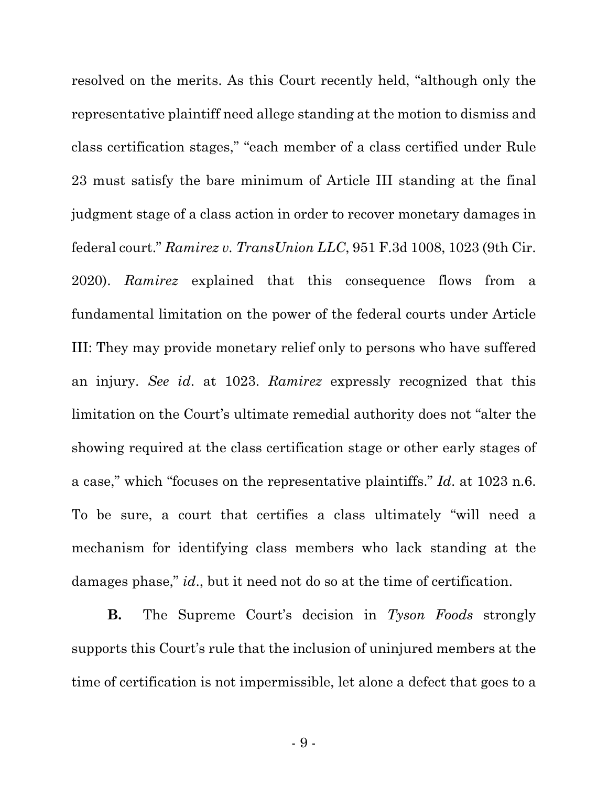resolved on the merits. As this Court recently held, "although only the representative plaintiff need allege standing at the motion to dismiss and class certification stages," "each member of a class certified under Rule 23 must satisfy the bare minimum of Article III standing at the final judgment stage of a class action in order to recover monetary damages in federal court." *Ramirez v. TransUnion LLC*, 951 F.3d 1008, 1023 (9th Cir. 2020). *Ramirez* explained that this consequence flows from a fundamental limitation on the power of the federal courts under Article III: They may provide monetary relief only to persons who have suffered an injury. *See id*. at 1023. *Ramirez* expressly recognized that this limitation on the Court's ultimate remedial authority does not "alter the showing required at the class certification stage or other early stages of a case," which "focuses on the representative plaintiffs." *Id*. at 1023 n.6. To be sure, a court that certifies a class ultimately "will need a mechanism for identifying class members who lack standing at the damages phase," *id*., but it need not do so at the time of certification.

**B.** The Supreme Court's decision in *Tyson Foods* strongly supports this Court's rule that the inclusion of uninjured members at the time of certification is not impermissible, let alone a defect that goes to a

- 9 -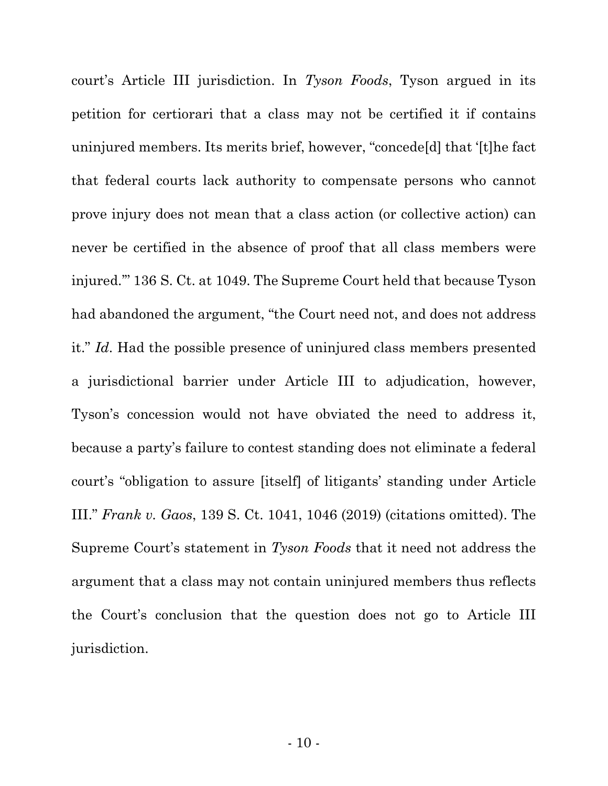court's Article III jurisdiction. In *Tyson Foods*, Tyson argued in its petition for certiorari that a class may not be certified it if contains uninjured members. Its merits brief, however, "concede[d] that '[t]he fact that federal courts lack authority to compensate persons who cannot prove injury does not mean that a class action (or collective action) can never be certified in the absence of proof that all class members were injured.'" 136 S. Ct. at 1049. The Supreme Court held that because Tyson had abandoned the argument, "the Court need not, and does not address it." *Id*. Had the possible presence of uninjured class members presented a jurisdictional barrier under Article III to adjudication, however, Tyson's concession would not have obviated the need to address it, because a party's failure to contest standing does not eliminate a federal court's "obligation to assure [itself] of litigants' standing under Article III." *Frank v. Gaos*, 139 S. Ct. 1041, 1046 (2019) (citations omitted). The Supreme Court's statement in *Tyson Foods* that it need not address the argument that a class may not contain uninjured members thus reflects the Court's conclusion that the question does not go to Article III jurisdiction.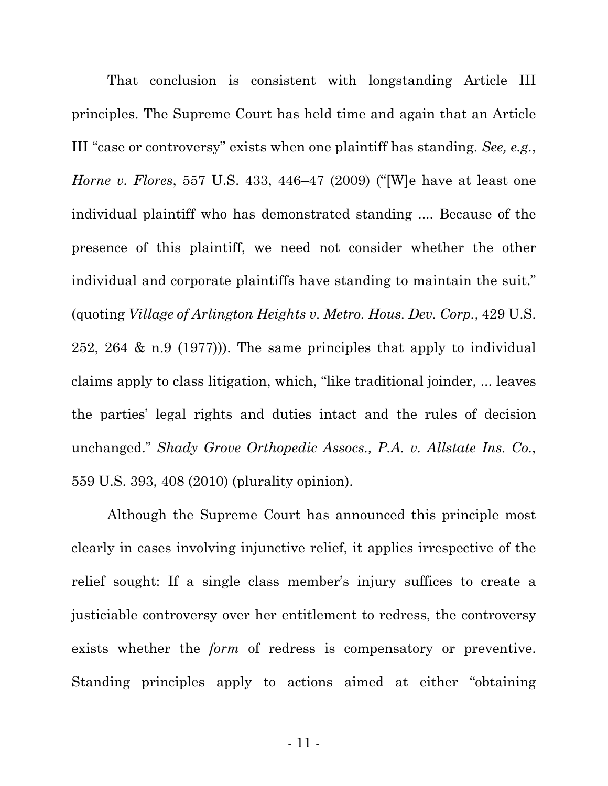That conclusion is consistent with longstanding Article III principles. The Supreme Court has held time and again that an Article III "case or controversy" exists when one plaintiff has standing. *See, e.g.*, *Horne v. Flores*, 557 U.S. 433, 446–47 (2009) ("[W]e have at least one individual plaintiff who has demonstrated standing .... Because of the presence of this plaintiff, we need not consider whether the other individual and corporate plaintiffs have standing to maintain the suit." (quoting *Village of Arlington Heights v. Metro. Hous. Dev. Corp.*, 429 U.S. 252, 264 & n.9 (1977))). The same principles that apply to individual claims apply to class litigation, which, "like traditional joinder, ... leaves the parties' legal rights and duties intact and the rules of decision unchanged." *Shady Grove Orthopedic Assocs., P.A. v. Allstate Ins. Co.*, 559 U.S. 393, 408 (2010) (plurality opinion).

Although the Supreme Court has announced this principle most clearly in cases involving injunctive relief, it applies irrespective of the relief sought: If a single class member's injury suffices to create a justiciable controversy over her entitlement to redress, the controversy exists whether the *form* of redress is compensatory or preventive. Standing principles apply to actions aimed at either "obtaining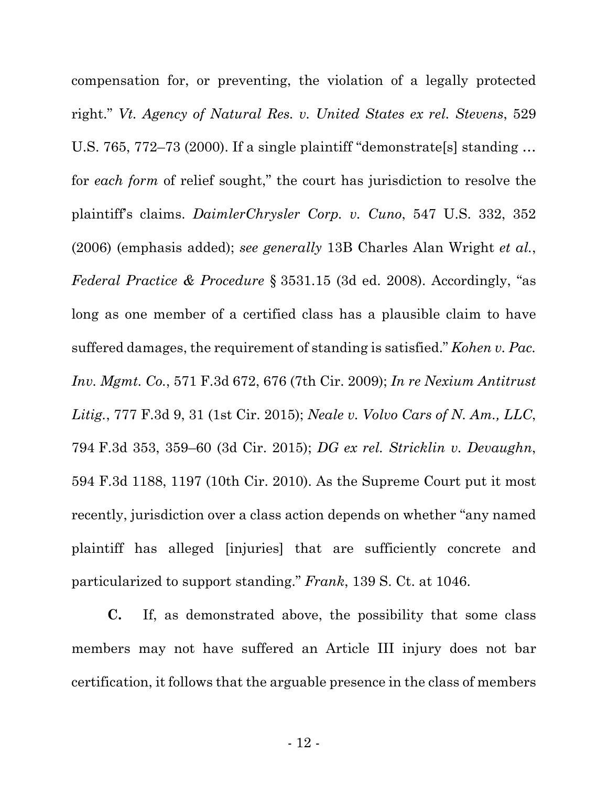compensation for, or preventing, the violation of a legally protected right." *Vt. Agency of Natural Res. v. United States ex rel. Stevens*, 529 U.S. 765, 772–73 (2000). If a single plaintiff "demonstrate[s] standing … for *each form* of relief sought," the court has jurisdiction to resolve the plaintiff's claims. *DaimlerChrysler Corp. v. Cuno*, 547 U.S. 332, 352 (2006) (emphasis added); *see generally* 13B Charles Alan Wright *et al.*, *Federal Practice & Procedure* § 3531.15 (3d ed. 2008). Accordingly, "as long as one member of a certified class has a plausible claim to have suffered damages, the requirement of standing is satisfied." *Kohen v. Pac. Inv. Mgmt. Co.*, 571 F.3d 672, 676 (7th Cir. 2009); *In re Nexium Antitrust Litig.*, 777 F.3d 9, 31 (1st Cir. 2015); *Neale v. Volvo Cars of N. Am., LLC*, 794 F.3d 353, 359–60 (3d Cir. 2015); *DG ex rel. Stricklin v. Devaughn*, 594 F.3d 1188, 1197 (10th Cir. 2010). As the Supreme Court put it most recently, jurisdiction over a class action depends on whether "any named plaintiff has alleged [injuries] that are sufficiently concrete and particularized to support standing." *Frank*, 139 S. Ct. at 1046.

**C.** If, as demonstrated above, the possibility that some class members may not have suffered an Article III injury does not bar certification, it follows that the arguable presence in the class of members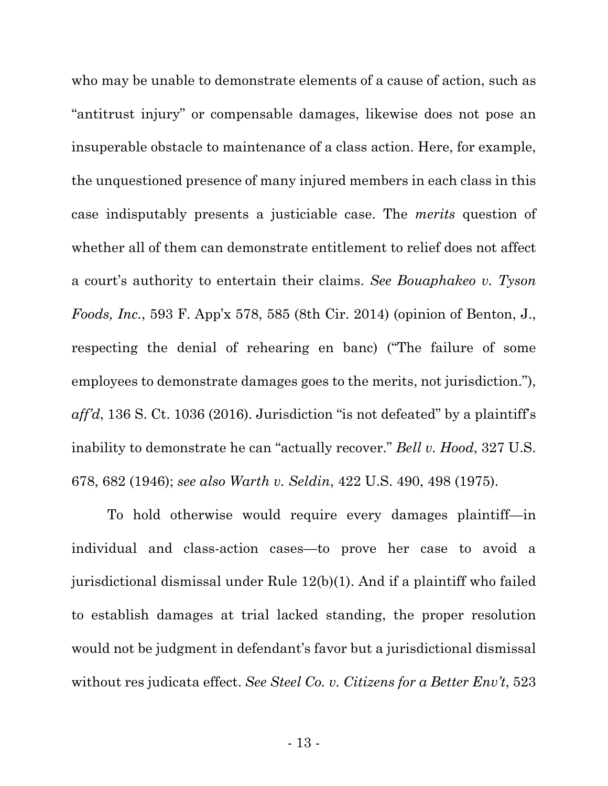who may be unable to demonstrate elements of a cause of action, such as "antitrust injury" or compensable damages, likewise does not pose an insuperable obstacle to maintenance of a class action. Here, for example, the unquestioned presence of many injured members in each class in this case indisputably presents a justiciable case. The *merits* question of whether all of them can demonstrate entitlement to relief does not affect a court's authority to entertain their claims. *See Bouaphakeo v. Tyson Foods, Inc.*, 593 F. App'x 578, 585 (8th Cir. 2014) (opinion of Benton, J., respecting the denial of rehearing en banc) ("The failure of some employees to demonstrate damages goes to the merits, not jurisdiction."), *aff'd*, 136 S. Ct. 1036 (2016). Jurisdiction "is not defeated" by a plaintiff's inability to demonstrate he can "actually recover." *Bell v. Hood*, 327 U.S. 678, 682 (1946); *see also Warth v. Seldin*, 422 U.S. 490, 498 (1975).

To hold otherwise would require every damages plaintiff—in individual and class-action cases—to prove her case to avoid a jurisdictional dismissal under Rule 12(b)(1). And if a plaintiff who failed to establish damages at trial lacked standing, the proper resolution would not be judgment in defendant's favor but a jurisdictional dismissal without res judicata effect. *See Steel Co. v. Citizens for a Better Env't*, 523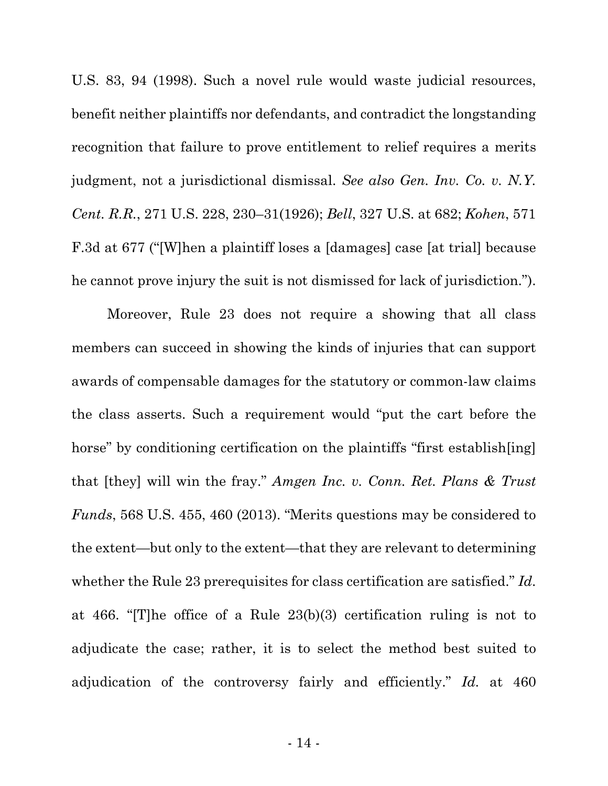U.S. 83, 94 (1998). Such a novel rule would waste judicial resources, benefit neither plaintiffs nor defendants, and contradict the longstanding recognition that failure to prove entitlement to relief requires a merits judgment, not a jurisdictional dismissal. *See also Gen. Inv. Co. v. N.Y. Cent. R.R.*, 271 U.S. 228, 230–31(1926); *Bell*, 327 U.S. at 682; *Kohen*, 571 F.3d at 677 ("[W]hen a plaintiff loses a [damages] case [at trial] because he cannot prove injury the suit is not dismissed for lack of jurisdiction.").

Moreover, Rule 23 does not require a showing that all class members can succeed in showing the kinds of injuries that can support awards of compensable damages for the statutory or common-law claims the class asserts. Such a requirement would "put the cart before the horse" by conditioning certification on the plaintiffs "first establish[ing] that [they] will win the fray." *Amgen Inc. v. Conn. Ret. Plans & Trust Funds*, 568 U.S. 455, 460 (2013). "Merits questions may be considered to the extent—but only to the extent—that they are relevant to determining whether the Rule 23 prerequisites for class certification are satisfied." *Id*. at 466. "[T]he office of a Rule 23(b)(3) certification ruling is not to adjudicate the case; rather, it is to select the method best suited to adjudication of the controversy fairly and efficiently." *Id.* at 460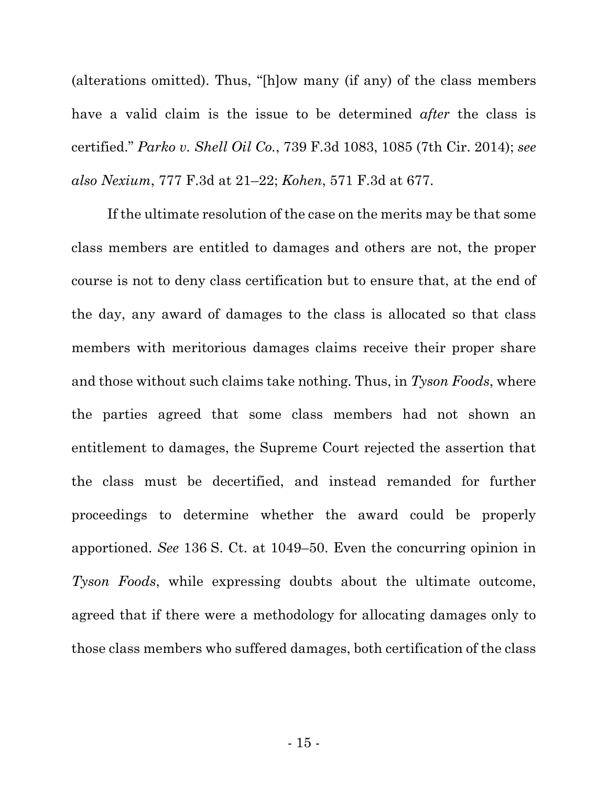(alterations omitted). Thus, "[h]ow many (if any) of the class members have a valid claim is the issue to be determined *after* the class is certified." *Parko v. Shell Oil Co.*, 739 F.3d 1083, 1085 (7th Cir. 2014); *see also Nexium*, 777 F.3d at 21–22; *Kohen*, 571 F.3d at 677.

If the ultimate resolution of the case on the merits may be that some class members are entitled to damages and others are not, the proper course is not to deny class certification but to ensure that, at the end of the day, any award of damages to the class is allocated so that class members with meritorious damages claims receive their proper share and those without such claims take nothing. Thus, in *Tyson Foods*, where the parties agreed that some class members had not shown an entitlement to damages, the Supreme Court rejected the assertion that the class must be decertified, and instead remanded for further proceedings to determine whether the award could be properly apportioned. *See* 136 S. Ct. at 1049–50. Even the concurring opinion in *Tyson Foods*, while expressing doubts about the ultimate outcome, agreed that if there were a methodology for allocating damages only to those class members who suffered damages, both certification of the class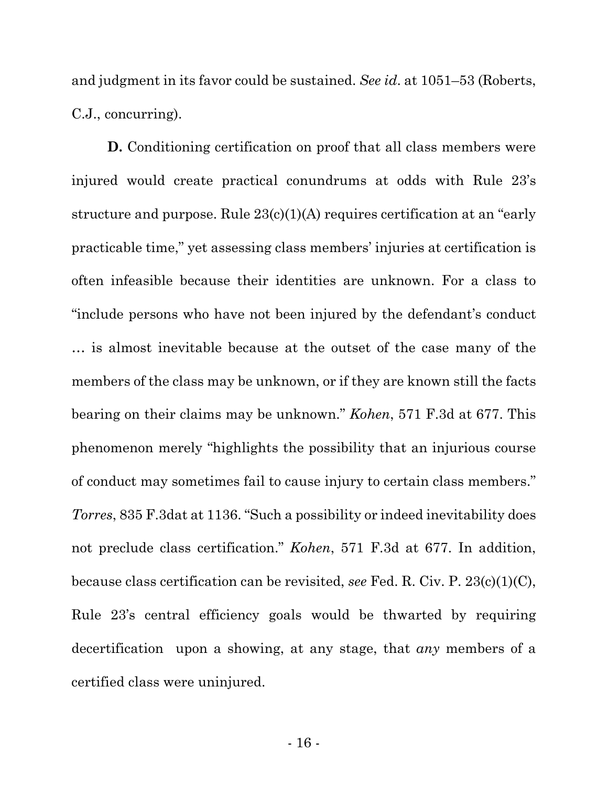and judgment in its favor could be sustained. *See id*. at 1051–53 (Roberts, C.J., concurring).

**D.** Conditioning certification on proof that all class members were injured would create practical conundrums at odds with Rule 23's structure and purpose. Rule 23(c)(1)(A) requires certification at an "early practicable time," yet assessing class members' injuries at certification is often infeasible because their identities are unknown. For a class to "include persons who have not been injured by the defendant's conduct … is almost inevitable because at the outset of the case many of the members of the class may be unknown, or if they are known still the facts bearing on their claims may be unknown." *Kohen*, 571 F.3d at 677. This phenomenon merely "highlights the possibility that an injurious course of conduct may sometimes fail to cause injury to certain class members." *Torres*, 835 F.3dat at 1136. "Such a possibility or indeed inevitability does not preclude class certification." *Kohen*, 571 F.3d at 677. In addition, because class certification can be revisited, *see* Fed. R. Civ. P. 23(c)(1)(C), Rule 23's central efficiency goals would be thwarted by requiring decertification upon a showing, at any stage, that *any* members of a certified class were uninjured.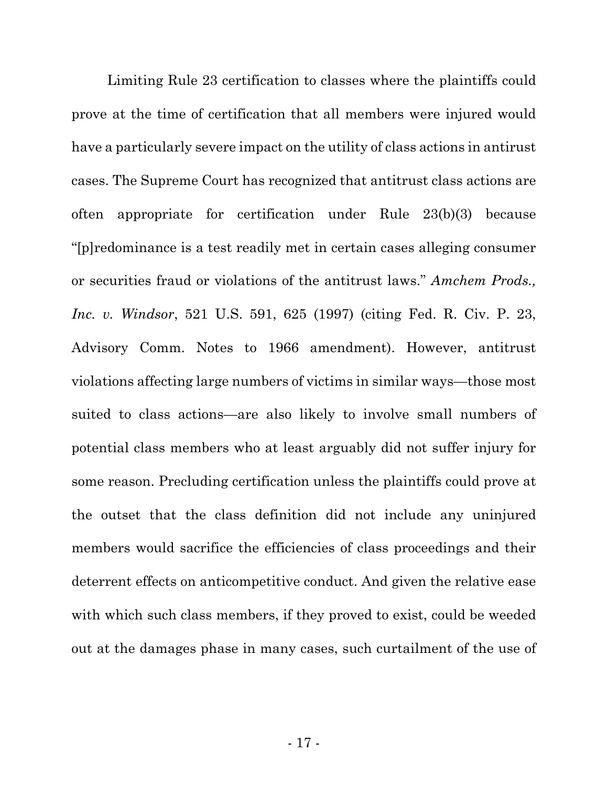Limiting Rule 23 certification to classes where the plaintiffs could prove at the time of certification that all members were injured would have a particularly severe impact on the utility of class actions in antirust cases. The Supreme Court has recognized that antitrust class actions are often appropriate for certification under Rule 23(b)(3) because "[p]redominance is a test readily met in certain cases alleging consumer or securities fraud or violations of the antitrust laws." *Amchem Prods., Inc. v. Windsor*, 521 U.S. 591, 625 (1997) (citing Fed. R. Civ. P. 23, Advisory Comm. Notes to 1966 amendment). However, antitrust violations affecting large numbers of victims in similar ways—those most suited to class actions—are also likely to involve small numbers of potential class members who at least arguably did not suffer injury for some reason. Precluding certification unless the plaintiffs could prove at the outset that the class definition did not include any uninjured members would sacrifice the efficiencies of class proceedings and their deterrent effects on anticompetitive conduct. And given the relative ease with which such class members, if they proved to exist, could be weeded out at the damages phase in many cases, such curtailment of the use of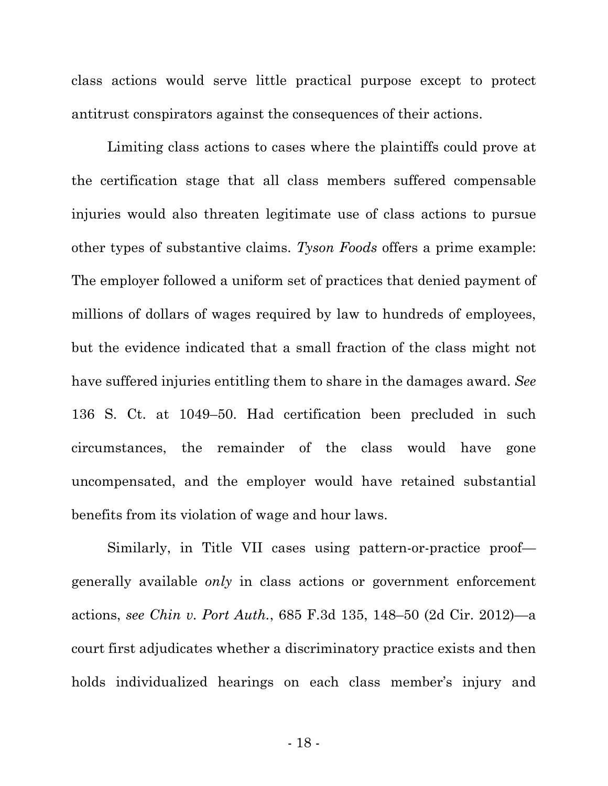class actions would serve little practical purpose except to protect antitrust conspirators against the consequences of their actions.

Limiting class actions to cases where the plaintiffs could prove at the certification stage that all class members suffered compensable injuries would also threaten legitimate use of class actions to pursue other types of substantive claims. *Tyson Foods* offers a prime example: The employer followed a uniform set of practices that denied payment of millions of dollars of wages required by law to hundreds of employees, but the evidence indicated that a small fraction of the class might not have suffered injuries entitling them to share in the damages award. *See* 136 S. Ct. at 1049–50. Had certification been precluded in such circumstances, the remainder of the class would have gone uncompensated, and the employer would have retained substantial benefits from its violation of wage and hour laws.

Similarly, in Title VII cases using pattern-or-practice proof generally available *only* in class actions or government enforcement actions, *see Chin v. Port Auth.*, 685 F.3d 135, 148–50 (2d Cir. 2012)—a court first adjudicates whether a discriminatory practice exists and then holds individualized hearings on each class member's injury and

- 18 -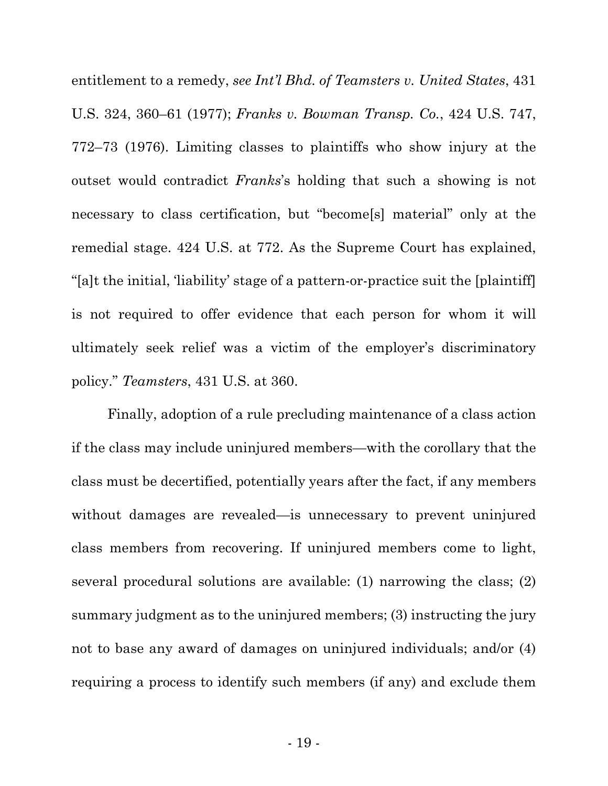entitlement to a remedy, *see Int'l Bhd. of Teamsters v. United States*, 431 U.S. 324, 360–61 (1977); *Franks v. Bowman Transp. Co.*, 424 U.S. 747, 772–73 (1976). Limiting classes to plaintiffs who show injury at the outset would contradict *Franks*'s holding that such a showing is not necessary to class certification, but "become[s] material" only at the remedial stage. 424 U.S. at 772. As the Supreme Court has explained, "[a]t the initial, 'liability' stage of a pattern-or-practice suit the [plaintiff] is not required to offer evidence that each person for whom it will ultimately seek relief was a victim of the employer's discriminatory policy." *Teamsters*, 431 U.S. at 360.

Finally, adoption of a rule precluding maintenance of a class action if the class may include uninjured members—with the corollary that the class must be decertified, potentially years after the fact, if any members without damages are revealed—is unnecessary to prevent uninjured class members from recovering. If uninjured members come to light, several procedural solutions are available: (1) narrowing the class; (2) summary judgment as to the uninjured members; (3) instructing the jury not to base any award of damages on uninjured individuals; and/or (4) requiring a process to identify such members (if any) and exclude them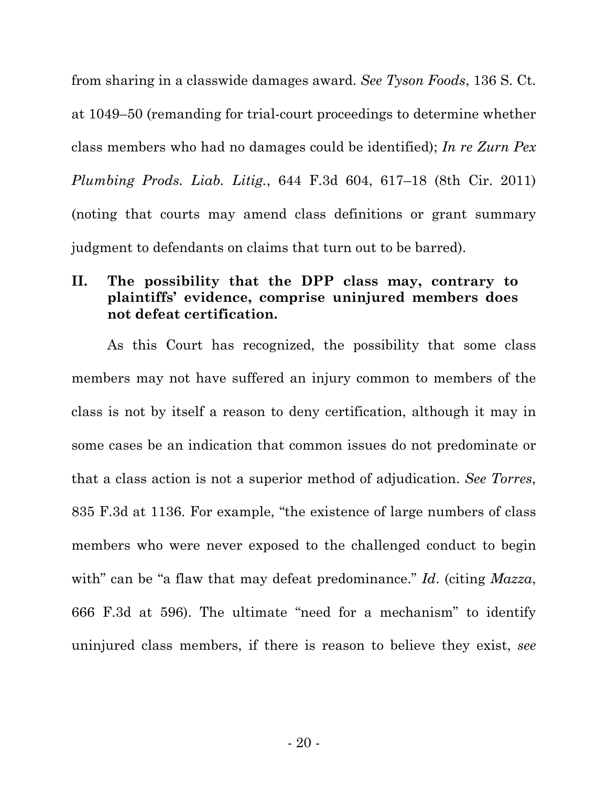from sharing in a classwide damages award. *See Tyson Foods*, 136 S. Ct. at 1049–50 (remanding for trial-court proceedings to determine whether class members who had no damages could be identified); *In re Zurn Pex Plumbing Prods. Liab. Litig.*, 644 F.3d 604, 617–18 (8th Cir. 2011) (noting that courts may amend class definitions or grant summary judgment to defendants on claims that turn out to be barred).

### **II. The possibility that the DPP class may, contrary to plaintiffs' evidence, comprise uninjured members does not defeat certification.**

As this Court has recognized, the possibility that some class members may not have suffered an injury common to members of the class is not by itself a reason to deny certification, although it may in some cases be an indication that common issues do not predominate or that a class action is not a superior method of adjudication. *See Torres*, 835 F.3d at 1136. For example, "the existence of large numbers of class members who were never exposed to the challenged conduct to begin with" can be "a flaw that may defeat predominance." *Id*. (citing *Mazza*, 666 F.3d at 596). The ultimate "need for a mechanism" to identify uninjured class members, if there is reason to believe they exist, *see*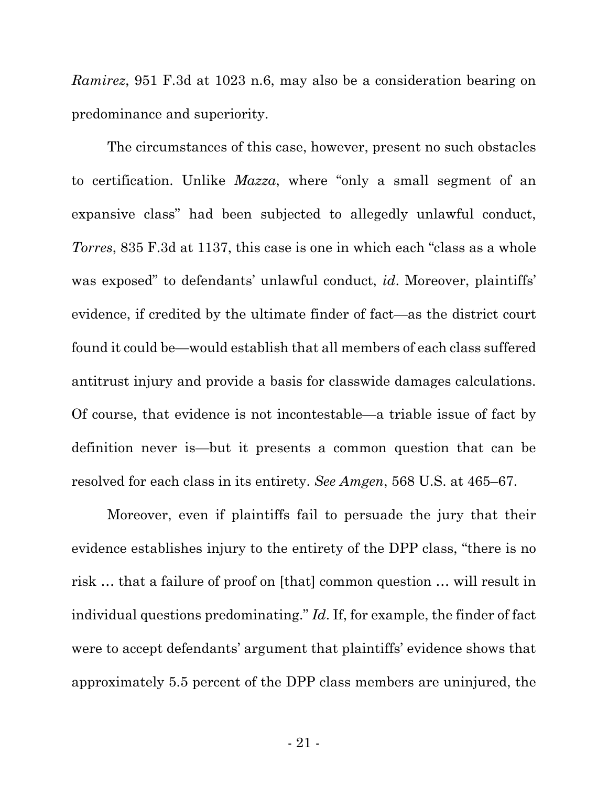*Ramirez*, 951 F.3d at 1023 n.6, may also be a consideration bearing on predominance and superiority.

The circumstances of this case, however, present no such obstacles to certification. Unlike *Mazza*, where "only a small segment of an expansive class" had been subjected to allegedly unlawful conduct, *Torres*, 835 F.3d at 1137, this case is one in which each "class as a whole was exposed" to defendants' unlawful conduct, *id*. Moreover, plaintiffs' evidence, if credited by the ultimate finder of fact—as the district court found it could be—would establish that all members of each class suffered antitrust injury and provide a basis for classwide damages calculations. Of course, that evidence is not incontestable—a triable issue of fact by definition never is—but it presents a common question that can be resolved for each class in its entirety. *See Amgen*, 568 U.S. at 465–67.

Moreover, even if plaintiffs fail to persuade the jury that their evidence establishes injury to the entirety of the DPP class, "there is no risk … that a failure of proof on [that] common question … will result in individual questions predominating." *Id*. If, for example, the finder of fact were to accept defendants' argument that plaintiffs' evidence shows that approximately 5.5 percent of the DPP class members are uninjured, the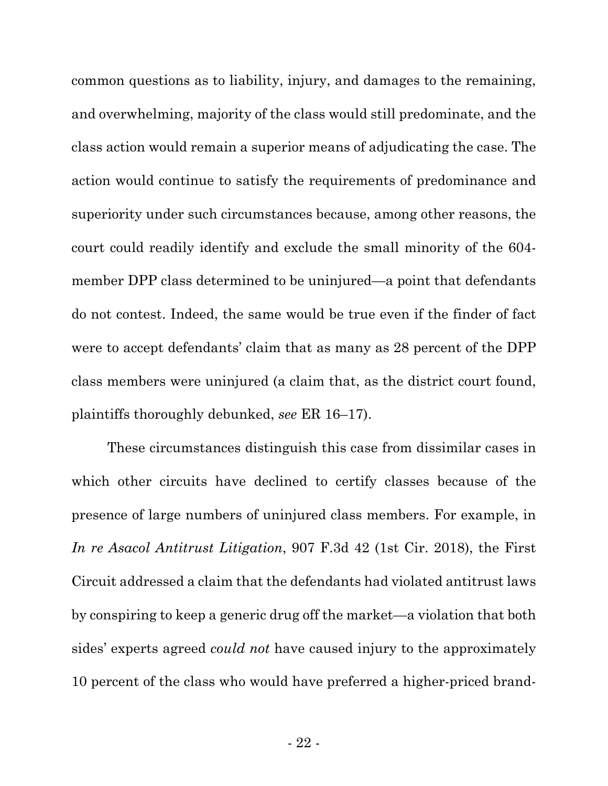common questions as to liability, injury, and damages to the remaining, and overwhelming, majority of the class would still predominate, and the class action would remain a superior means of adjudicating the case. The action would continue to satisfy the requirements of predominance and superiority under such circumstances because, among other reasons, the court could readily identify and exclude the small minority of the 604 member DPP class determined to be uninjured—a point that defendants do not contest. Indeed, the same would be true even if the finder of fact were to accept defendants' claim that as many as 28 percent of the DPP class members were uninjured (a claim that, as the district court found, plaintiffs thoroughly debunked, *see* ER 16–17).

These circumstances distinguish this case from dissimilar cases in which other circuits have declined to certify classes because of the presence of large numbers of uninjured class members. For example, in *In re Asacol Antitrust Litigation*, 907 F.3d 42 (1st Cir. 2018), the First Circuit addressed a claim that the defendants had violated antitrust laws by conspiring to keep a generic drug off the market—a violation that both sides' experts agreed *could not* have caused injury to the approximately 10 percent of the class who would have preferred a higher-priced brand-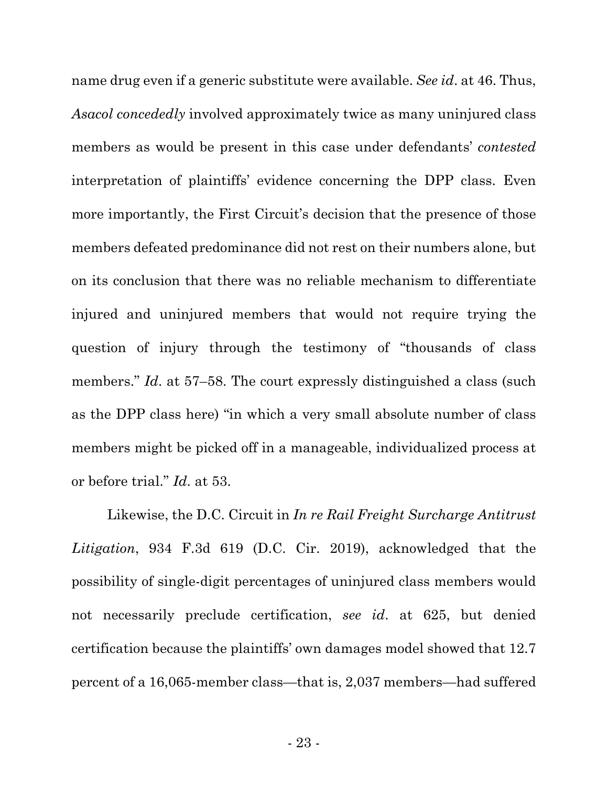name drug even if a generic substitute were available. *See id*. at 46. Thus, *Asacol concededly* involved approximately twice as many uninjured class members as would be present in this case under defendants' *contested* interpretation of plaintiffs' evidence concerning the DPP class. Even more importantly, the First Circuit's decision that the presence of those members defeated predominance did not rest on their numbers alone, but on its conclusion that there was no reliable mechanism to differentiate injured and uninjured members that would not require trying the question of injury through the testimony of "thousands of class members." *Id.* at 57–58. The court expressly distinguished a class (such as the DPP class here) "in which a very small absolute number of class members might be picked off in a manageable, individualized process at or before trial." *Id*. at 53.

Likewise, the D.C. Circuit in *In re Rail Freight Surcharge Antitrust Litigation*, 934 F.3d 619 (D.C. Cir. 2019), acknowledged that the possibility of single-digit percentages of uninjured class members would not necessarily preclude certification, *see id*. at 625, but denied certification because the plaintiffs' own damages model showed that 12.7 percent of a 16,065-member class—that is, 2,037 members—had suffered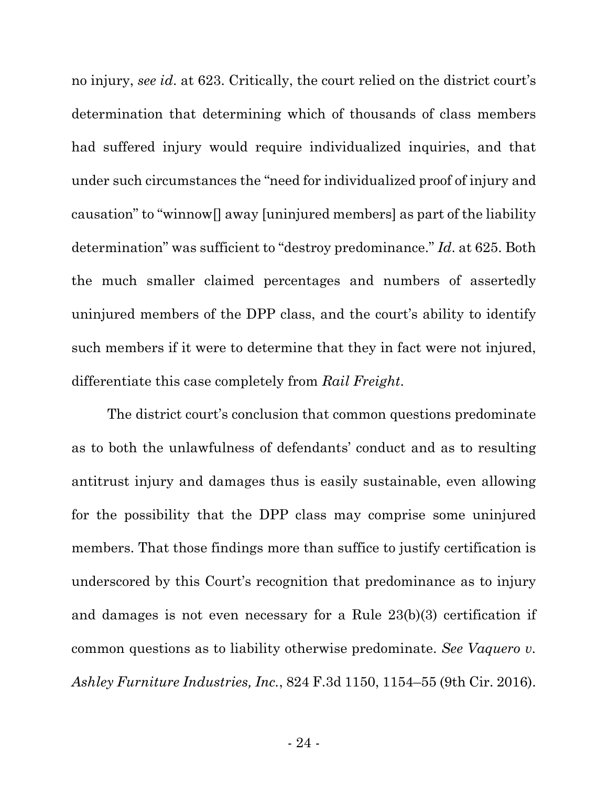no injury, *see id*. at 623. Critically, the court relied on the district court's determination that determining which of thousands of class members had suffered injury would require individualized inquiries, and that under such circumstances the "need for individualized proof of injury and causation" to "winnow[] away [uninjured members] as part of the liability determination" was sufficient to "destroy predominance." *Id*. at 625. Both the much smaller claimed percentages and numbers of assertedly uninjured members of the DPP class, and the court's ability to identify such members if it were to determine that they in fact were not injured, differentiate this case completely from *Rail Freight*.

The district court's conclusion that common questions predominate as to both the unlawfulness of defendants' conduct and as to resulting antitrust injury and damages thus is easily sustainable, even allowing for the possibility that the DPP class may comprise some uninjured members. That those findings more than suffice to justify certification is underscored by this Court's recognition that predominance as to injury and damages is not even necessary for a Rule 23(b)(3) certification if common questions as to liability otherwise predominate. *See Vaquero v. Ashley Furniture Industries, Inc.*, 824 F.3d 1150, 1154–55 (9th Cir. 2016).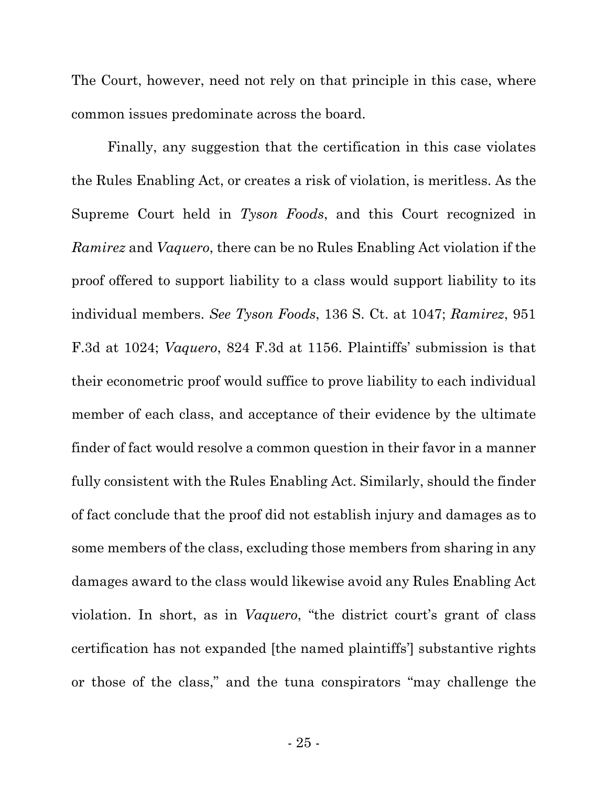The Court, however, need not rely on that principle in this case, where common issues predominate across the board.

Finally, any suggestion that the certification in this case violates the Rules Enabling Act, or creates a risk of violation, is meritless. As the Supreme Court held in *Tyson Foods*, and this Court recognized in *Ramirez* and *Vaquero*, there can be no Rules Enabling Act violation if the proof offered to support liability to a class would support liability to its individual members. *See Tyson Foods*, 136 S. Ct. at 1047; *Ramirez*, 951 F.3d at 1024; *Vaquero*, 824 F.3d at 1156. Plaintiffs' submission is that their econometric proof would suffice to prove liability to each individual member of each class, and acceptance of their evidence by the ultimate finder of fact would resolve a common question in their favor in a manner fully consistent with the Rules Enabling Act. Similarly, should the finder of fact conclude that the proof did not establish injury and damages as to some members of the class, excluding those members from sharing in any damages award to the class would likewise avoid any Rules Enabling Act violation. In short, as in *Vaquero*, "the district court's grant of class certification has not expanded [the named plaintiffs'] substantive rights or those of the class," and the tuna conspirators "may challenge the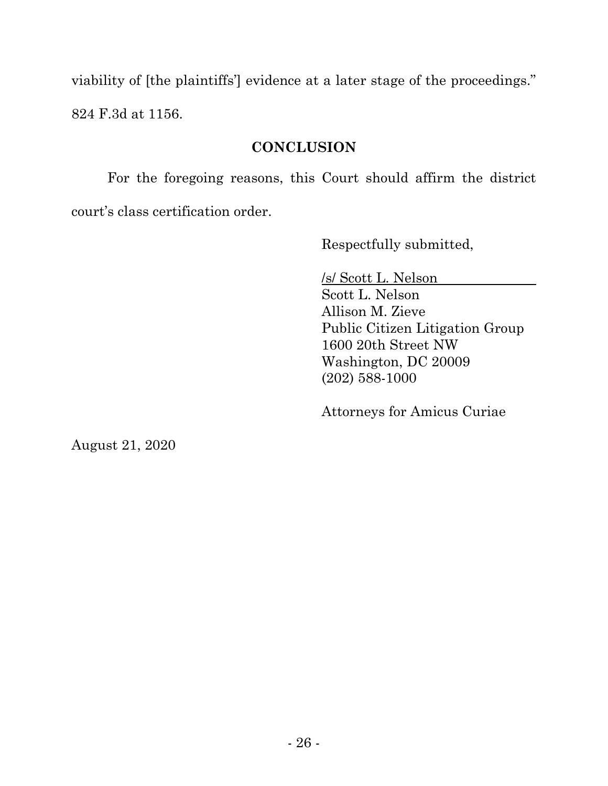viability of [the plaintiffs'] evidence at a later stage of the proceedings." 824 F.3d at 1156.

## **CONCLUSION**

For the foregoing reasons, this Court should affirm the district court's class certification order.

Respectfully submitted,

/s/ Scott L. Nelson Scott L. Nelson Allison M. Zieve Public Citizen Litigation Group 1600 20th Street NW Washington, DC 20009 (202) 588-1000

Attorneys for Amicus Curiae

August 21, 2020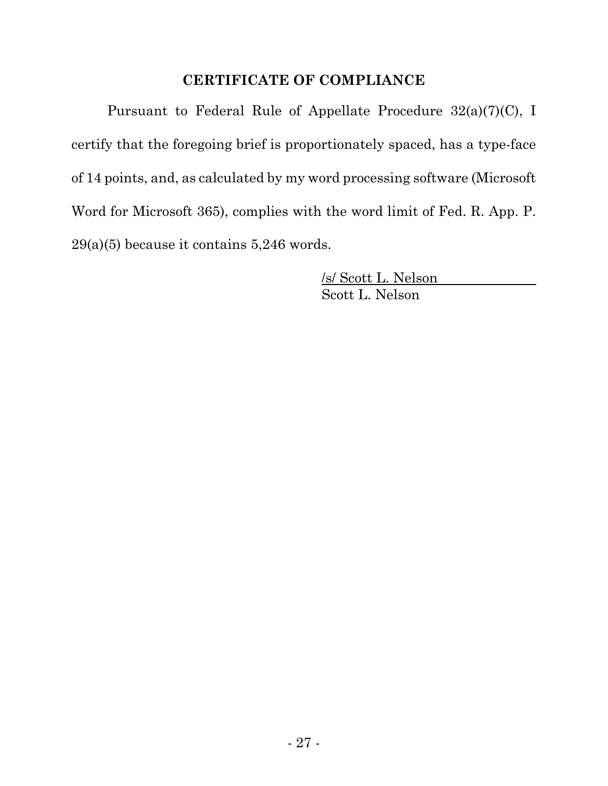### **CERTIFICATE OF COMPLIANCE**

Pursuant to Federal Rule of Appellate Procedure 32(a)(7)(C), I certify that the foregoing brief is proportionately spaced, has a type-face of 14 points, and, as calculated by my word processing software (Microsoft Word for Microsoft 365), complies with the word limit of Fed. R. App. P. 29(a)(5) because it contains 5,246 words.

> /s/ Scott L. Nelson Scott L. Nelson